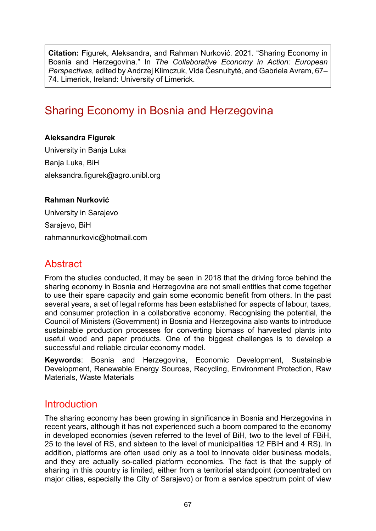**Citation:** Figurek, Aleksandra, and Rahman Nurković. 2021. "Sharing Economy in Bosnia and Herzegovina." In *The Collaborative Economy in Action: European Perspectives*, edited by Andrzej Klimczuk, Vida Česnuitytė, and Gabriela Avram, 67– 74. Limerick, Ireland: University of Limerick.

# Sharing Economy in Bosnia and Herzegovina

#### **Aleksandra Figurek**

University in Banja Luka Banja Luka, BiH aleksandra.figurek@agro.unibl.org

#### **Rahman Nurković**

University in Sarajevo Sarajevo, BiH rahmannurkovic@hotmail.com

### **Abstract**

From the studies conducted, it may be seen in 2018 that the driving force behind the sharing economy in Bosnia and Herzegovina are not small entities that come together to use their spare capacity and gain some economic benefit from others. In the past several years, a set of legal reforms has been established for aspects of labour, taxes, and consumer protection in a collaborative economy. Recognising the potential, the Council of Ministers (Government) in Bosnia and Herzegovina also wants to introduce sustainable production processes for converting biomass of harvested plants into useful wood and paper products. One of the biggest challenges is to develop a successful and reliable circular economy model.

**Keywords**: Bosnia and Herzegovina, Economic Development, Sustainable Development, Renewable Energy Sources, Recycling, Environment Protection, Raw Materials, Waste Materials

### Introduction

The sharing economy has been growing in significance in Bosnia and Herzegovina in recent years, although it has not experienced such a boom compared to the economy in developed economies (seven referred to the level of BiH, two to the level of FBiH, 25 to the level of RS, and sixteen to the level of municipalities 12 FBiH and 4 RS). In addition, platforms are often used only as a tool to innovate older business models, and they are actually so-called platform economics. The fact is that the supply of sharing in this country is limited, either from a territorial standpoint (concentrated on major cities, especially the City of Sarajevo) or from a service spectrum point of view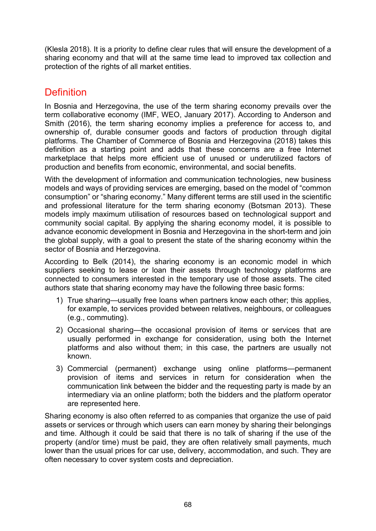(Klesla 2018). It is a priority to define clear rules that will ensure the development of a sharing economy and that will at the same time lead to improved tax collection and protection of the rights of all market entities.

## Definition

In Bosnia and Herzegovina, the use of the term sharing economy prevails over the term collaborative economy (IMF, WEO, January 2017). According to Anderson and Smith (2016), the term sharing economy implies a preference for access to, and ownership of, durable consumer goods and factors of production through digital platforms. The Chamber of Commerce of Bosnia and Herzegovina (2018) takes this definition as a starting point and adds that these concerns are a free Internet marketplace that helps more efficient use of unused or underutilized factors of production and benefits from economic, environmental, and social benefits.

With the development of information and communication technologies, new business models and ways of providing services are emerging, based on the model of "common consumption" or "sharing economy." Many different terms are still used in the scientific and professional literature for the term sharing economy (Botsman 2013). These models imply maximum utilisation of resources based on technological support and community social capital. By applying the sharing economy model, it is possible to advance economic development in Bosnia and Herzegovina in the short-term and join the global supply, with a goal to present the state of the sharing economy within the sector of Bosnia and Herzegovina.

According to Belk (2014), the sharing economy is an economic model in which suppliers seeking to lease or loan their assets through technology platforms are connected to consumers interested in the temporary use of those assets. The cited authors state that sharing economy may have the following three basic forms:

- 1) True sharing—usually free loans when partners know each other; this applies, for example, to services provided between relatives, neighbours, or colleagues (e.g., commuting).
- 2) Occasional sharing—the occasional provision of items or services that are usually performed in exchange for consideration, using both the Internet platforms and also without them; in this case, the partners are usually not known.
- 3) Commercial (permanent) exchange using online platforms—permanent provision of items and services in return for consideration when the communication link between the bidder and the requesting party is made by an intermediary via an online platform; both the bidders and the platform operator are represented here.

Sharing economy is also often referred to as companies that organize the use of paid assets or services or through which users can earn money by sharing their belongings and time. Although it could be said that there is no talk of sharing if the use of the property (and/or time) must be paid, they are often relatively small payments, much lower than the usual prices for car use, delivery, accommodation, and such. They are often necessary to cover system costs and depreciation.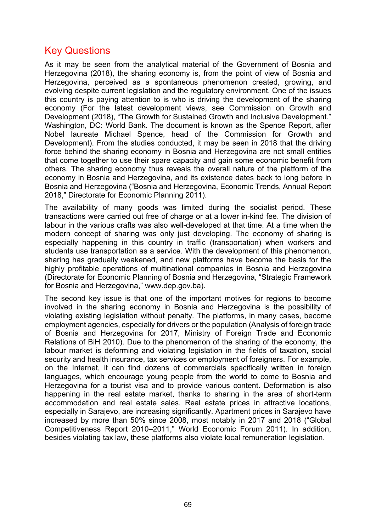### Key Questions

As it may be seen from the analytical material of the Government of Bosnia and Herzegovina (2018), the sharing economy is, from the point of view of Bosnia and Herzegovina, perceived as a spontaneous phenomenon created, growing, and evolving despite current legislation and the regulatory environment. One of the issues this country is paying attention to is who is driving the development of the sharing economy (For the latest development views, see Commission on Growth and Development (2018), "The Growth for Sustained Growth and Inclusive Development." Washington, DC: World Bank. The document is known as the Spence Report, after Nobel laureate Michael Spence, head of the Commission for Growth and Development). From the studies conducted, it may be seen in 2018 that the driving force behind the sharing economy in Bosnia and Herzegovina are not small entities that come together to use their spare capacity and gain some economic benefit from others. The sharing economy thus reveals the overall nature of the platform of the economy in Bosnia and Herzegovina, and its existence dates back to long before in Bosnia and Herzegovina ("Bosnia and Herzegovina, Economic Trends, Annual Report 2018," Directorate for Economic Planning 2011).

The availability of many goods was limited during the socialist period. These transactions were carried out free of charge or at a lower in-kind fee. The division of labour in the various crafts was also well-developed at that time. At a time when the modern concept of sharing was only just developing. The economy of sharing is especially happening in this country in traffic (transportation) when workers and students use transportation as a service. With the development of this phenomenon, sharing has gradually weakened, and new platforms have become the basis for the highly profitable operations of multinational companies in Bosnia and Herzegovina (Directorate for Economic Planning of Bosnia and Herzegovina, "Strategic Framework for Bosnia and Herzegovina," www.dep.gov.ba).

The second key issue is that one of the important motives for regions to become involved in the sharing economy in Bosnia and Herzegovina is the possibility of violating existing legislation without penalty. The platforms, in many cases, become employment agencies, especially for drivers or the population (Analysis of foreign trade of Bosnia and Herzegovina for 2017, Ministry of Foreign Trade and Economic Relations of BiH 2010). Due to the phenomenon of the sharing of the economy, the labour market is deforming and violating legislation in the fields of taxation, social security and health insurance, tax services or employment of foreigners. For example, on the Internet, it can find dozens of commercials specifically written in foreign languages, which encourage young people from the world to come to Bosnia and Herzegovina for a tourist visa and to provide various content. Deformation is also happening in the real estate market, thanks to sharing in the area of short-term accommodation and real estate sales. Real estate prices in attractive locations, especially in Sarajevo, are increasing significantly. Apartment prices in Sarajevo have increased by more than 50% since 2008, most notably in 2017 and 2018 ("Global Competitiveness Report 2010–2011," World Economic Forum 2011). In addition, besides violating tax law, these platforms also violate local remuneration legislation.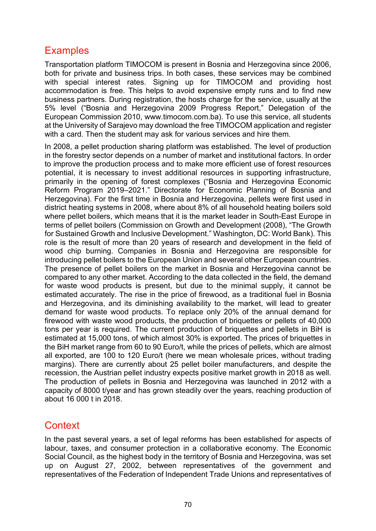## **Examples**

Transportation platform TIMOCOM is present in Bosnia and Herzegovina since 2006, both for private and business trips. In both cases, these services may be combined with special interest rates. Signing up for TIMOCOM and providing host accommodation is free. This helps to avoid expensive empty runs and to find new business partners. During registration, the hosts charge for the service, usually at the 5% level ("Bosnia and Herzegovina 2009 Progress Report," Delegation of the European Commission 2010, www.timocom.com.ba). To use this service, all students at the University of Sarajevo may download the free TIMOCOM application and register with a card. Then the student may ask for various services and hire them.

In 2008, a pellet production sharing platform was established. The level of production in the forestry sector depends on a number of market and institutional factors. In order to improve the production process and to make more efficient use of forest resources potential, it is necessary to invest additional resources in supporting infrastructure, primarily in the opening of forest complexes ("Bosnia and Herzegovina Economic Reform Program 2019–2021." Directorate for Economic Planning of Bosnia and Herzegovina). For the first time in Bosnia and Herzegovina, pellets were first used in district heating systems in 2008, where about 8% of all household heating boilers sold where pellet boilers, which means that it is the market leader in South-East Europe in terms of pellet boilers (Commission on Growth and Development (2008), "The Growth for Sustained Growth and Inclusive Development." Washington, DC: World Bank). This role is the result of more than 20 years of research and development in the field of wood chip burning. Companies in Bosnia and Herzegovina are responsible for introducing pellet boilers to the European Union and several other European countries. The presence of pellet boilers on the market in Bosnia and Herzegovina cannot be compared to any other market. According to the data collected in the field, the demand for waste wood products is present, but due to the minimal supply, it cannot be estimated accurately. The rise in the price of firewood, as a traditional fuel in Bosnia and Herzegovina, and its diminishing availability to the market, will lead to greater demand for waste wood products. To replace only 20% of the annual demand for firewood with waste wood products, the production of briquettes or pellets of 40,000 tons per year is required. The current production of briquettes and pellets in BiH is estimated at 15,000 tons, of which almost 30% is exported. The prices of briquettes in the BiH market range from 60 to 90 Euro/t, while the prices of pellets, which are almost all exported, are 100 to 120 Euro/t (here we mean wholesale prices, without trading margins). There are currently about 25 pellet boiler manufacturers, and despite the recession, the Austrian pellet industry expects positive market growth in 2018 as well. The production of pellets in Bosnia and Herzegovina was launched in 2012 with a capacity of 8000 t/year and has grown steadily over the years, reaching production of about 16 000 t in 2018.

### **Context**

In the past several years, a set of legal reforms has been established for aspects of labour, taxes, and consumer protection in a collaborative economy. The Economic Social Council, as the highest body in the territory of Bosnia and Herzegovina, was set up on August 27, 2002, between representatives of the government and representatives of the Federation of Independent Trade Unions and representatives of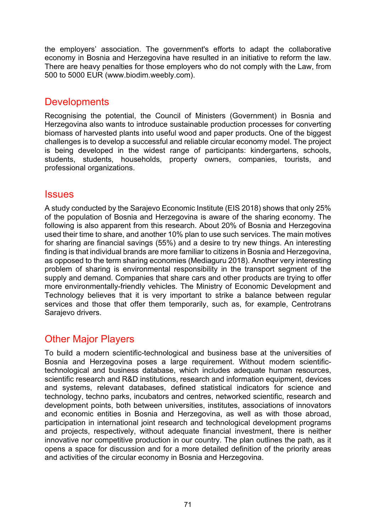the employers' association. The government's efforts to adapt the collaborative economy in Bosnia and Herzegovina have resulted in an initiative to reform the law. There are heavy penalties for those employers who do not comply with the Law, from 500 to 5000 EUR ([www.biodim.weebly.com](http://www.biodim.weebly.com/)).

### **Developments**

Recognising the potential, the Council of Ministers (Government) in Bosnia and Herzegovina also wants to introduce sustainable production processes for converting biomass of harvested plants into useful wood and paper products. One of the biggest challenges is to develop a successful and reliable circular economy model. The project is being developed in the widest range of participants: kindergartens, schools, students, students, households, property owners, companies, tourists, and professional organizations.

#### **Issues**

A study conducted by the Sarajevo Economic Institute (EIS 2018) shows that only 25% of the population of Bosnia and Herzegovina is aware of the sharing economy. The following is also apparent from this research. About 20% of Bosnia and Herzegovina used their time to share, and another 10% plan to use such services. The main motives for sharing are financial savings (55%) and a desire to try new things. An interesting finding is that individual brands are more familiar to citizens in Bosnia and Herzegovina, as opposed to the term sharing economies (Mediaguru 2018). Another very interesting problem of sharing is environmental responsibility in the transport segment of the supply and demand. Companies that share cars and other products are trying to offer more environmentally-friendly vehicles. The Ministry of Economic Development and Technology believes that it is very important to strike a balance between regular services and those that offer them temporarily, such as, for example, Centrotrans Sarajevo drivers.

## Other Major Players

To build a modern scientific-technological and business base at the universities of Bosnia and Herzegovina poses a large requirement. Without modern scientifictechnological and business database, which includes adequate human resources, scientific research and R&D institutions, research and information equipment, devices and systems, relevant databases, defined statistical indicators for science and technology, techno parks, incubators and centres, networked scientific, research and development points, both between universities, institutes, associations of innovators and economic entities in Bosnia and Herzegovina, as well as with those abroad, participation in international joint research and technological development programs and projects, respectively, without adequate financial investment, there is neither innovative nor competitive production in our country. The plan outlines the path, as it opens a space for discussion and for a more detailed definition of the priority areas and activities of the circular economy in Bosnia and Herzegovina.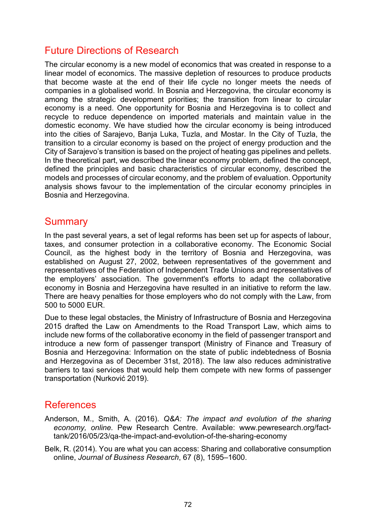### Future Directions of Research

The circular economy is a new model of economics that was created in response to a linear model of economics. The massive depletion of resources to produce products that become waste at the end of their life cycle no longer meets the needs of companies in a globalised world. In Bosnia and Herzegovina, the circular economy is among the strategic development priorities; the transition from linear to circular economy is a need. One opportunity for Bosnia and Herzegovina is to collect and recycle to reduce dependence on imported materials and maintain value in the domestic economy. We have studied how the circular economy is being introduced into the cities of Sarajevo, Banja Luka, Tuzla, and Mostar. In the City of Tuzla, the transition to a circular economy is based on the project of energy production and the City of Sarajevo's transition is based on the project of heating gas pipelines and pellets. In the theoretical part, we described the linear economy problem, defined the concept, defined the principles and basic characteristics of circular economy, described the models and processes of circular economy, and the problem of evaluation. Opportunity analysis shows favour to the implementation of the circular economy principles in Bosnia and Herzegovina.

#### **Summary**

In the past several years, a set of legal reforms has been set up for aspects of labour, taxes, and consumer protection in a collaborative economy. The Economic Social Council, as the highest body in the territory of Bosnia and Herzegovina, was established on August 27, 2002, between representatives of the government and representatives of the Federation of Independent Trade Unions and representatives of the employers' association. The government's efforts to adapt the collaborative economy in Bosnia and Herzegovina have resulted in an initiative to reform the law. There are heavy penalties for those employers who do not comply with the Law, from 500 to 5000 EUR.

Due to these legal obstacles, the Ministry of Infrastructure of Bosnia and Herzegovina 2015 drafted the Law on Amendments to the Road Transport Law, which aims to include new forms of the collaborative economy in the field of passenger transport and introduce a new form of passenger transport (Ministry of Finance and Treasury of Bosnia and Herzegovina: Information on the state of public indebtedness of Bosnia and Herzegovina as of December 31st, 2018). The law also reduces administrative barriers to taxi services that would help them compete with new forms of passenger transportation (Nurković 2019).

### **References**

Anderson, M., Smith, A. (2016). *Q&A: The impact and evolution of the sharing economy, online.* Pew Research Centre. Available: [www.pewresearch.org/](http://www.pewresearch.org/)facttank/2016/05/23/qa-the-impact-and-evolution-of-the-sharing-economy

Belk, R. (2014). You are what you can access: Sharing and collaborative consumption online, *Journal of Business Research*, 67 (8), 1595–1600.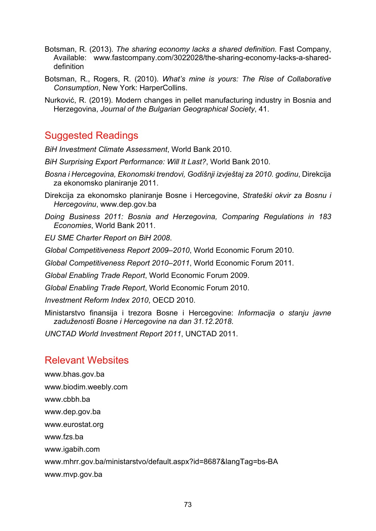- Botsman, R. (2013). *The sharing economy lacks a shared definition.* Fast Company, Available: [www.fastcompany.com/3022028/the-sharing-econ](http://www.fastcompany.com/3022028/the-sharing-eco-)omy-lacks-a-shareddefinition
- Botsman, R., Rogers, R. (2010). *What's mine is yours: The Rise of Collaborative Consumption*, New York: HarperCollins.
- Nurković, R. (2019). Modern changes in pellet manufacturing industry in Bosnia and Herzegovina, *Journal of the Bulgarian Geographical Society*, 41.

### Suggested Readings

*BiH Investment Climate Assessment*, World Bank 2010.

- *BiH Surprising Export Performance: Will It Last?*, World Bank 2010.
- *Bosna i Hercegovina, Ekonomski trendovi, Godišnji izvještaj za 2010. godinu*, Direkcija za ekonomsko planiranje 2011.
- Direkcija za ekonomsko planiranje Bosne i Hercegovine, *Strateški okvir za Bosnu i Hercegovinu*, [www.dep.gov](http://www.dep.gov.ba/).ba
- *Doing Business 2011: Bosnia and Herzegovina, Comparing Regulations in 183 Economies*, World Bank 2011.

*EU SME Charter Report on BiH 2008*.

*Global Competitiveness Report 2009–2010*, World Economic Forum 2010.

*Global Competitiveness Report 2010–2011*, World Economic Forum 2011.

*Global Enabling Trade Report*, World Economic Forum 2009.

*Global Enabling Trade Report*, World Economic Forum 2010.

*Investment Reform Index 2010*, OECD 2010.

Ministarstvo finansija i trezora Bosne i Hercegovine: *Informacija o stanju javne zaduženosti Bosne i Hercegovine na dan 31.12.2018*.

*UNCTAD World Investment Report 2011*, UNCTAD 2011.

### Relevant Websites

[www.bhas.gov.ba](http://www.bhas.gov.ba/) [www.biodim.weebly.com](http://www.biodim.weebly.com/) www.cbbh.ba www.dep.gov.ba www.eurostat.org www.fzs.ba www.igabih.com [www.mhrr.gov.ba/ministarstvo/default.aspx?](http://www.mhrr.gov.ba/ministarstvo/default.aspx)id=8687&langTag=bs-BA www.mvp.gov.ba